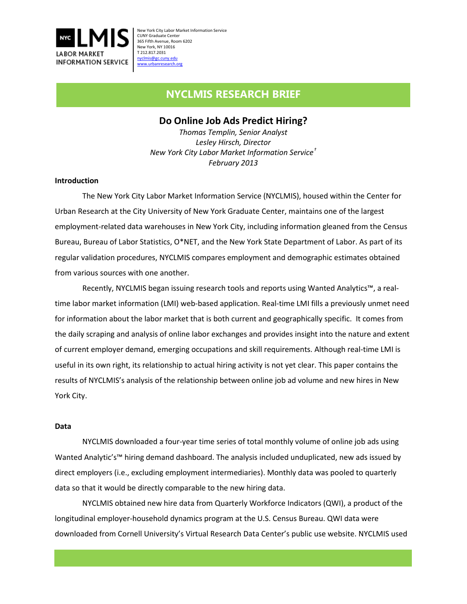

# **NYCLMIS RESEARCH BRIEF**

# **Do Online Job Ads Predict Hiring?**

*Thomas Templin, Senior Analyst Lesley Hirsch, Director New York City Labor Market Information Service[†](#page-3-0) February 2013*

## **Introduction**

The New York City Labor Market Information Service (NYCLMIS), housed within the Center for Urban Research at the City University of New York Graduate Center, maintains one of the largest employment-related data warehouses in New York City, including information gleaned from the Census Bureau, Bureau of Labor Statistics, O\*NET, and the New York State Department of Labor. As part of its regular validation procedures, NYCLMIS compares employment and demographic estimates obtained from various sources with one another.

Recently, NYCLMIS began issuing research tools and reports using Wanted Analytics™, a realtime labor market information (LMI) web-based application. Real-time LMI fills a previously unmet need for information about the labor market that is both current and geographically specific. It comes from the daily scraping and analysis of online labor exchanges and provides insight into the nature and extent of current employer demand, emerging occupations and skill requirements. Although real-time LMI is useful in its own right, its relationship to actual hiring activity is not yet clear. This paper contains the results of NYCLMIS's analysis of the relationship between online job ad volume and new hires in New York City.

#### **Data**

NYCLMIS downloaded a four-year time series of total monthly volume of online job ads using Wanted Analytic's™ hiring demand dashboard. The analysis included unduplicated, new ads issued by direct employers (i.e., excluding employment intermediaries). Monthly data was pooled to quarterly data so that it would be directly comparable to the new hiring data.

NYCLMIS obtained new hire data from Quarterly Workforce Indicators (QWI), a product of the longitudinal employer-household dynamics program at the U.S. Census Bureau. QWI data were downloaded from Cornell University's Virtual Research Data Center's public use website. NYCLMIS used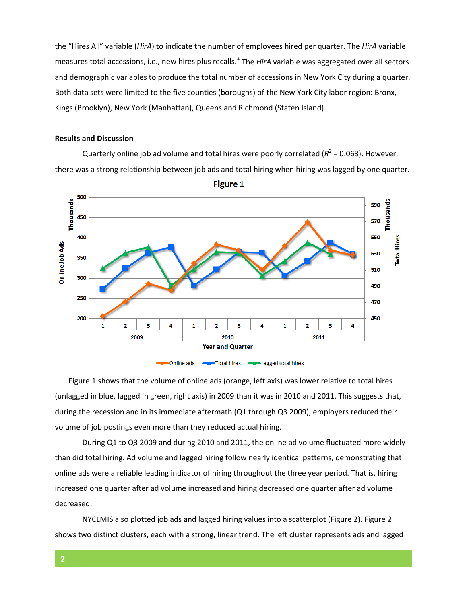the "Hires All" variable (*HirA*) to indicate the number of employees hired per quarter. The *HirA* variable measures total accessions, i.e., new hires plus recalls. [‡](#page-3-1) The *HirA* variable was aggregated over all sectors and demographic variables to produce the total number of accessions in New York City during a quarter. Both data sets were limited to the five counties (boroughs) of the New York City labor region: Bronx, Kings (Brooklyn), New York (Manhattan), Queens and Richmond (Staten Island).

#### **Results and Discussion**

Quarterly online job ad volume and total hires were poorly correlated ( $R^2$  = 0.063). However, there was a strong relationship between job ads and total hiring when hiring was lagged by one quarter.



**Figure 1** 

Figure 1 shows that the volume of online ads (orange, left axis) was lower relative to total hires (unlagged in blue, lagged in green, right axis) in 2009 than it was in 2010 and 2011. This suggests that, during the recession and in its immediate aftermath (Q1 through Q3 2009), employers reduced their volume of job postings even more than they reduced actual hiring.

During Q1 to Q3 2009 and during 2010 and 2011, the online ad volume fluctuated more widely than did total hiring. Ad volume and lagged hiring follow nearly identical patterns, demonstrating that online ads were a reliable leading indicator of hiring throughout the three year period. That is, hiring increased one quarter after ad volume increased and hiring decreased one quarter after ad volume decreased.

NYCLMIS also plotted job ads and lagged hiring values into a scatterplot (Figure 2). Figure 2 shows two distinct clusters, each with a strong, linear trend. The left cluster represents ads and lagged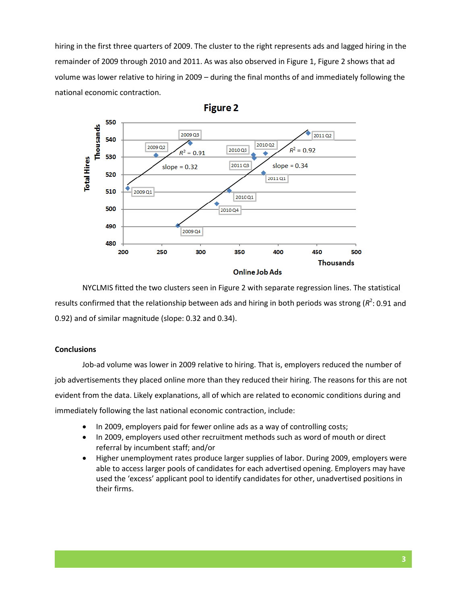hiring in the first three quarters of 2009. The cluster to the right represents ads and lagged hiring in the remainder of 2009 through 2010 and 2011. As was also observed in Figure 1, Figure 2 shows that ad volume was lower relative to hiring in 2009 – during the final months of and immediately following the national economic contraction.



NYCLMIS fitted the two clusters seen in Figure 2 with separate regression lines. The statistical results confirmed that the relationship between ads and hiring in both periods was strong ( $R^2$ : 0.91 and 0.92) and of similar magnitude (slope: 0.32 and 0.34).

#### **Conclusions**

Job-ad volume was lower in 2009 relative to hiring. That is, employers reduced the number of job advertisements they placed online more than they reduced their hiring. The reasons for this are not evident from the data. Likely explanations, all of which are related to economic conditions during and immediately following the last national economic contraction, include:

- In 2009, employers paid for fewer online ads as a way of controlling costs;
- In 2009, employers used other recruitment methods such as word of mouth or direct referral by incumbent staff; and/or
- Higher unemployment rates produce larger supplies of labor. During 2009, employers were able to access larger pools of candidates for each advertised opening. Employers may have used the 'excess' applicant pool to identify candidates for other, unadvertised positions in their firms.